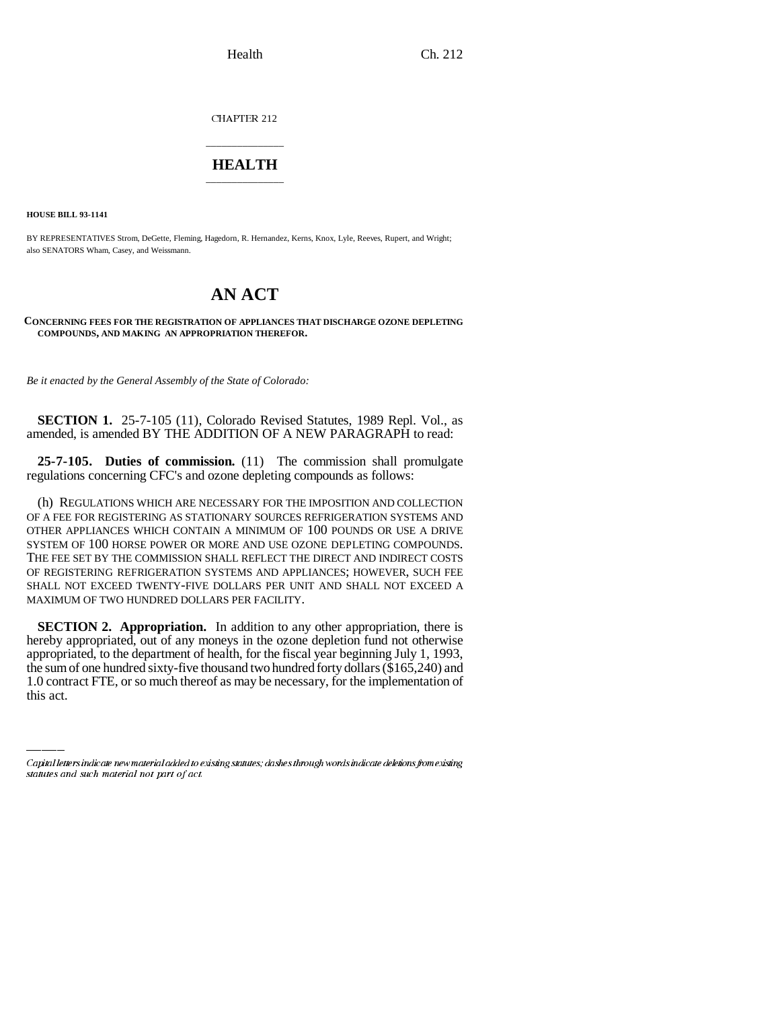CHAPTER 212

## \_\_\_\_\_\_\_\_\_\_\_\_\_\_\_ **HEALTH** \_\_\_\_\_\_\_\_\_\_\_\_\_\_\_

**HOUSE BILL 93-1141**

BY REPRESENTATIVES Strom, DeGette, Fleming, Hagedorn, R. Hernandez, Kerns, Knox, Lyle, Reeves, Rupert, and Wright; also SENATORS Wham, Casey, and Weissmann.

## **AN ACT**

## **CONCERNING FEES FOR THE REGISTRATION OF APPLIANCES THAT DISCHARGE OZONE DEPLETING COMPOUNDS, AND MAKING AN APPROPRIATION THEREFOR.**

*Be it enacted by the General Assembly of the State of Colorado:*

**SECTION 1.** 25-7-105 (11), Colorado Revised Statutes, 1989 Repl. Vol., as amended, is amended BY THE ADDITION OF A NEW PARAGRAPH to read:

**25-7-105. Duties of commission.** (11) The commission shall promulgate regulations concerning CFC's and ozone depleting compounds as follows:

(h) REGULATIONS WHICH ARE NECESSARY FOR THE IMPOSITION AND COLLECTION OF A FEE FOR REGISTERING AS STATIONARY SOURCES REFRIGERATION SYSTEMS AND OTHER APPLIANCES WHICH CONTAIN A MINIMUM OF 100 POUNDS OR USE A DRIVE SYSTEM OF 100 HORSE POWER OR MORE AND USE OZONE DEPLETING COMPOUNDS. THE FEE SET BY THE COMMISSION SHALL REFLECT THE DIRECT AND INDIRECT COSTS OF REGISTERING REFRIGERATION SYSTEMS AND APPLIANCES; HOWEVER, SUCH FEE SHALL NOT EXCEED TWENTY-FIVE DOLLARS PER UNIT AND SHALL NOT EXCEED A MAXIMUM OF TWO HUNDRED DOLLARS PER FACILITY.

appropriated, to the department of health, for the fiscal year beginning July 1, 1993, **SECTION 2. Appropriation.** In addition to any other appropriation, there is hereby appropriated, out of any moneys in the ozone depletion fund not otherwise the sum of one hundred sixty-five thousand two hundred forty dollars (\$165,240) and 1.0 contract FTE, or so much thereof as may be necessary, for the implementation of this act.

Capital letters indicate new material added to existing statutes; dashes through words indicate deletions from existing statutes and such material not part of act.